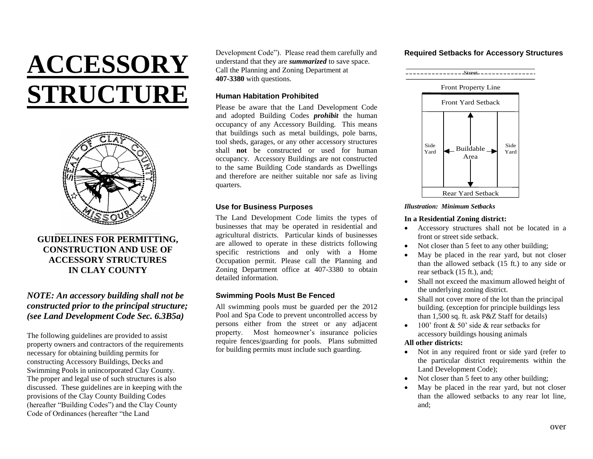# **ACCESSORY STRUCTURE**



# **GUIDELINES FOR PERMITTING, CONSTRUCTION AND USE OF ACCESSORY STRUCTURES IN CLAY COUNTY**

## *NOTE: An accessory building shall not be constructed prior to the principal structure; (see Land Development Code Sec. 6.3B5a)*

The following guidelines are provided to assist property owners and contractors of the requirements necessary for obtaining building permits for constructing Accessory Buildings, Decks and Swimming Pools in unincorporated Clay County. The proper and legal use of such structures is also discussed. These guidelines are in keeping with the provisions of the Clay County Building Codes (hereafter "Building Codes") and the Clay County Code of Ordinances (hereafter "the Land

Development Code"). Please read them carefully and understand that they are *summarized* to save space. Call the Planning and Zoning Department at **407-3380** with questions.

## **Human Habitation Prohibited**

Please be aware that the Land Development Code and adopted Building Codes *prohibit* the human occupancy of any Accessory Building. This means that buildings such as metal buildings, pole barns, tool sheds, garages, or any other accessory structures shall **not** be constructed or used for human occupancy. Accessory Buildings are not constructed to the same Building Code standards as Dwellings and therefore are neither suitable nor safe as living quarters.

## **Use for Business Purposes**

The Land Development Code limits the types of businesses that may be operated in residential and agricultural districts. Particular kinds of businesses are allowed to operate in these districts following specific restrictions and only with a Home Occupation permit. Please call the Planning and Zoning Department office at 407-3380 to obtain detailed information.

## **Swimming Pools Must Be Fenced**

All swimming pools must be guarded per the 2012 Pool and Spa Code to prevent uncontrolled access by persons either from the street or any adjacent property. Most homeowner's insurance policies require fences/guarding for pools. Plans submitted for building permits must include such guarding.

## **Required Setbacks for Accessory Structures**





#### *Illustration: Minimum Setbacks*

### **In a Residential Zoning district:**

- Accessory structures shall not be located in a front or street side setback.
- Not closer than 5 feet to any other building;
- May be placed in the rear yard, but not closer than the allowed setback (15 ft.) to any side or rear setback (15 ft.), and;
- Shall not exceed the maximum allowed height of the underlying zoning district.
- Shall not cover more of the lot than the principal building. (exception for principle buildings less than 1,500 sq. ft. ask P&Z Staff for details)
- $\bullet$  100' front & 50' side & rear setbacks for accessory buildings housing animals

## **All other districts:**

- Not in any required front or side yard (refer to the particular district requirements within the Land Development Code);
- Not closer than 5 feet to any other building;
- May be placed in the rear yard, but not closer than the allowed setbacks to any rear lot line, and;